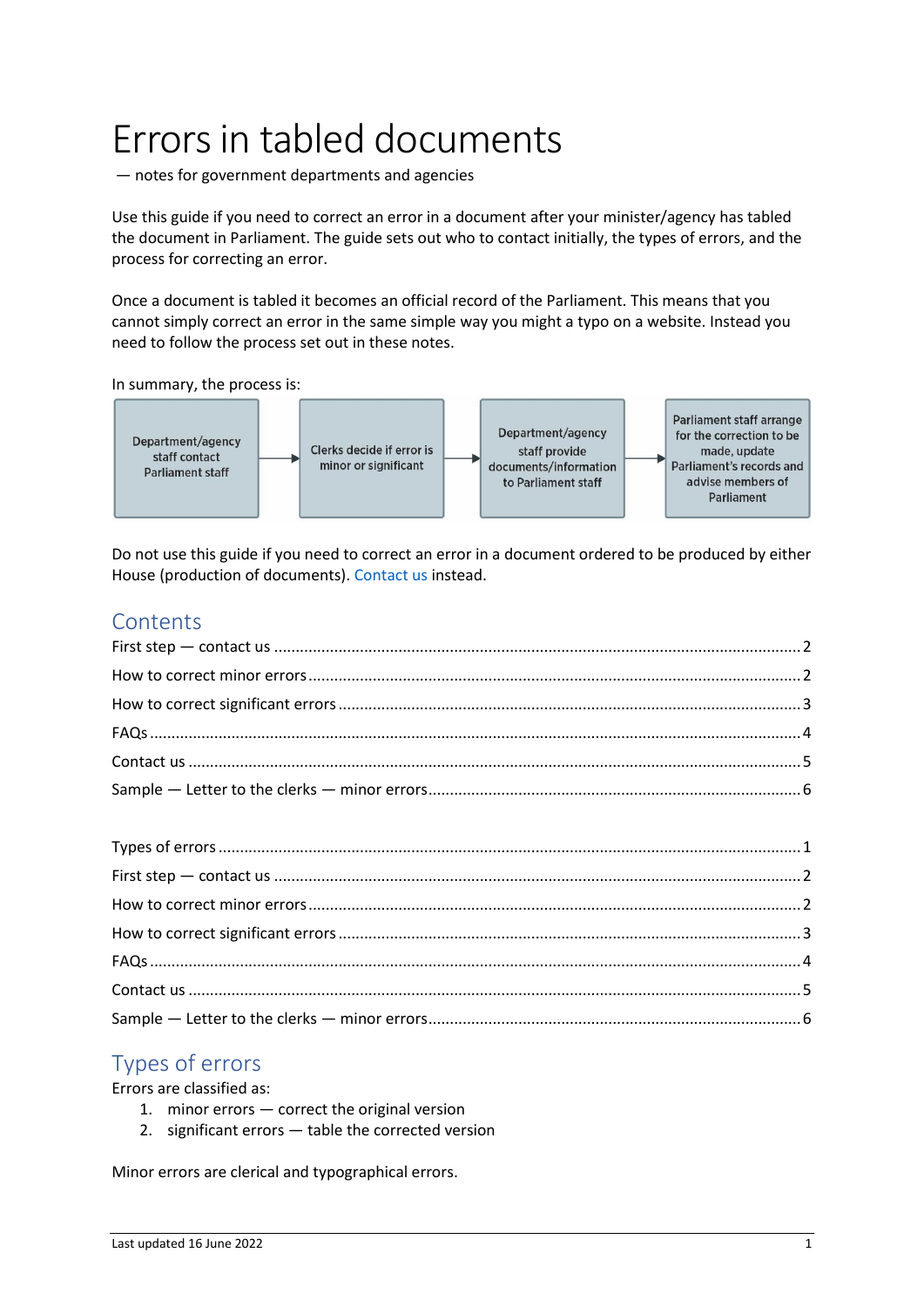# Errors in tabled documents

— notes for government departments and agencies

Use this guide if you need to correct an error in a document after your minister/agency has tabled the document in Parliament. The guide sets out who to contact initially, the types of errors, and the process for correcting an error.

Once a document is tabled it becomes an official record of the Parliament. This means that you cannot simply correct an error in the same simple way you might a typo on a website. Instead you need to follow the process set out in these notes.

In summary, the process is:



Do not use this guide if you need to correct an error in a document ordered to be produced by either House (production of documents). [Contact us](#page-4-0) instead.

# **Contents**

# <span id="page-0-0"></span>Types of errors

Errors are classified as:

- 1. minor errors correct the original version
- 2. significant errors table the corrected version

Minor errors are clerical and typographical errors.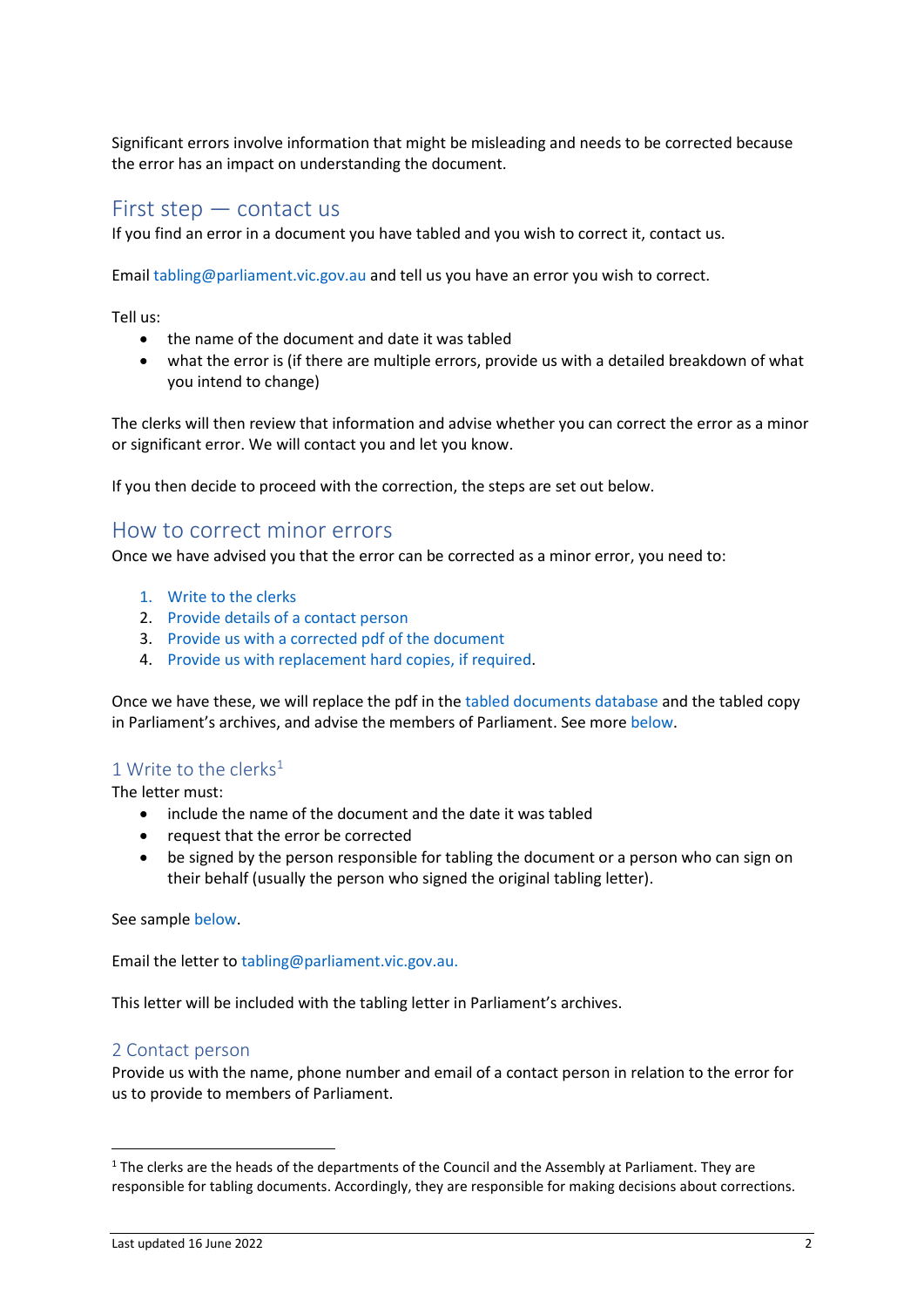Significant errors involve information that might be misleading and needs to be corrected because the error has an impact on understanding the document.

# <span id="page-1-0"></span>First step — contact us

If you find an error in a document you have tabled and you wish to correct it, contact us.

Email [tabling@parliament.vic.gov.au](mailto:tabling@parliament.vic.gov.au) and tell us you have an error you wish to correct.

Tell us:

- the name of the document and date it was tabled
- what the error is (if there are multiple errors, provide us with a detailed breakdown of what you intend to change)

The clerks will then review that information and advise whether you can correct the error as a minor or significant error. We will contact you and let you know.

<span id="page-1-1"></span>If you then decide to proceed with the correction, the steps are set out below.

# How to correct minor errors

Once we have advised you that the error can be corrected as a minor error, you need to:

- 1. [Write to the clerks](#page-1-2)
- 2. [Provide details of a contact person](#page-1-3)
- 3. Provide [us with a corrected pdf](#page-2-1) of the document
- 4. [Provide us with replacement hard copies, if required.](#page-2-2)

Once we have these, we will replace the pdf in th[e tabled documents database](https://www.parliament.vic.gov.au/tabled-documents-database) and the tabled copy in Parliament's archives, and advise the members of Parliament. See mor[e below.](#page-2-3)

#### <span id="page-1-2"></span>1 Write to the clerks<sup>1</sup>

The letter must:

- include the name of the document and the date it was tabled
- request that the error be corrected
- be signed by the person responsible for tabling the document or a person who can sign on their behalf (usually the person who signed the original tabling letter).

See sample [below.](#page-5-0)

Email the letter t[o tabling@parliament.vic.gov.au.](mailto:tabling@parliament.vic.gov.au)

This letter will be included with the tabling letter in Parliament's archives.

#### <span id="page-1-3"></span>2 Contact person

Provide us with the name, phone number and email of a contact person in relation to the error for us to provide to members of Parliament.

 $1$  The clerks are the heads of the departments of the Council and the Assembly at Parliament. They are responsible for tabling documents. Accordingly, they are responsible for making decisions about corrections.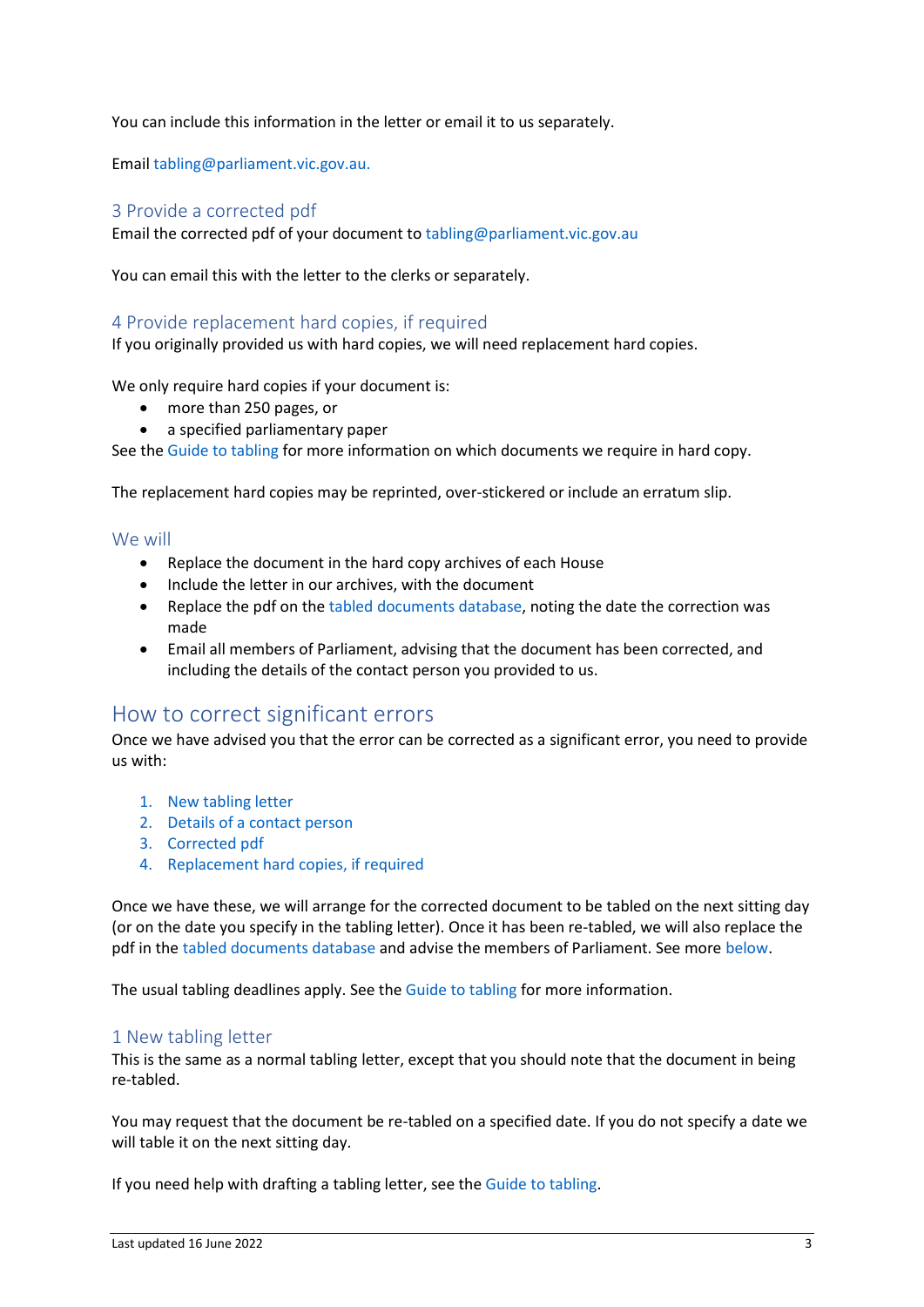You can include this information in the letter or email it to us separately.

Email [tabling@parliament.vic.gov.au.](mailto:tabling@parliament.vic.gov.au)

#### <span id="page-2-1"></span>3 Provide a corrected pdf

Email the corrected pdf of your document to [tabling@parliament.vic.gov.au](mailto:tabling@parliament.vic.gov.au)

You can email this with the letter to the clerks or separately.

#### <span id="page-2-2"></span>4 Provide replacement hard copies, if required

If you originally provided us with hard copies, we will need replacement hard copies.

We only require hard copies if your document is:

- more than 250 pages, or
- a specified parliamentary paper

See the [Guide to tabling](https://new.parliament.vic.gov.au/globalassets/sections-shared/parliamentary-activity/guides-for-departments/guide-to-tabling.pdf) for more information on which documents we require in hard copy.

The replacement hard copies may be reprinted, over-stickered or include an erratum slip.

#### <span id="page-2-3"></span>We will

- Replace the document in the hard copy archives of each House
- Include the letter in our archives, with the document
- Replace the pdf on the [tabled documents database,](https://www.parliament.vic.gov.au/tabled-documents-database) noting the date the correction was made
- Email all members of Parliament, advising that the document has been corrected, and including the details of the contact person you provided to us.

## <span id="page-2-0"></span>How to correct significant errors

Once we have advised you that the error can be corrected as a significant error, you need to provide us with:

- 1. [New tabling letter](#page-2-4)
- 2. [Details of a contact person](#page-3-1)
- 3. [Corrected pdf](#page-3-2)
- 4. Replacement [hard copies, if required](#page-3-3)

Once we have these, we will arrange for the corrected document to be tabled on the next sitting day (or on the date you specify in the tabling letter). Once it has been re-tabled, we will also replace the pdf in th[e tabled documents database](https://www.parliament.vic.gov.au/tabled-documents-database) and advise the members of Parliament. See mor[e below.](#page-3-4)

The usual tabling deadlines apply. See th[e Guide to tabling](https://new.parliament.vic.gov.au/globalassets/sections-shared/parliamentary-activity/guides-for-departments/guide-to-tabling.pdf) for more information.

#### <span id="page-2-4"></span>1 New tabling letter

This is the same as a normal tabling letter, except that you should note that the document in being re-tabled.

You may request that the document be re-tabled on a specified date. If you do not specify a date we will table it on the next sitting day.

If you need help with drafting a tabling letter, see the [Guide to tabling.](https://new.parliament.vic.gov.au/globalassets/sections-shared/parliamentary-activity/guides-for-departments/guide-to-tabling.pdf)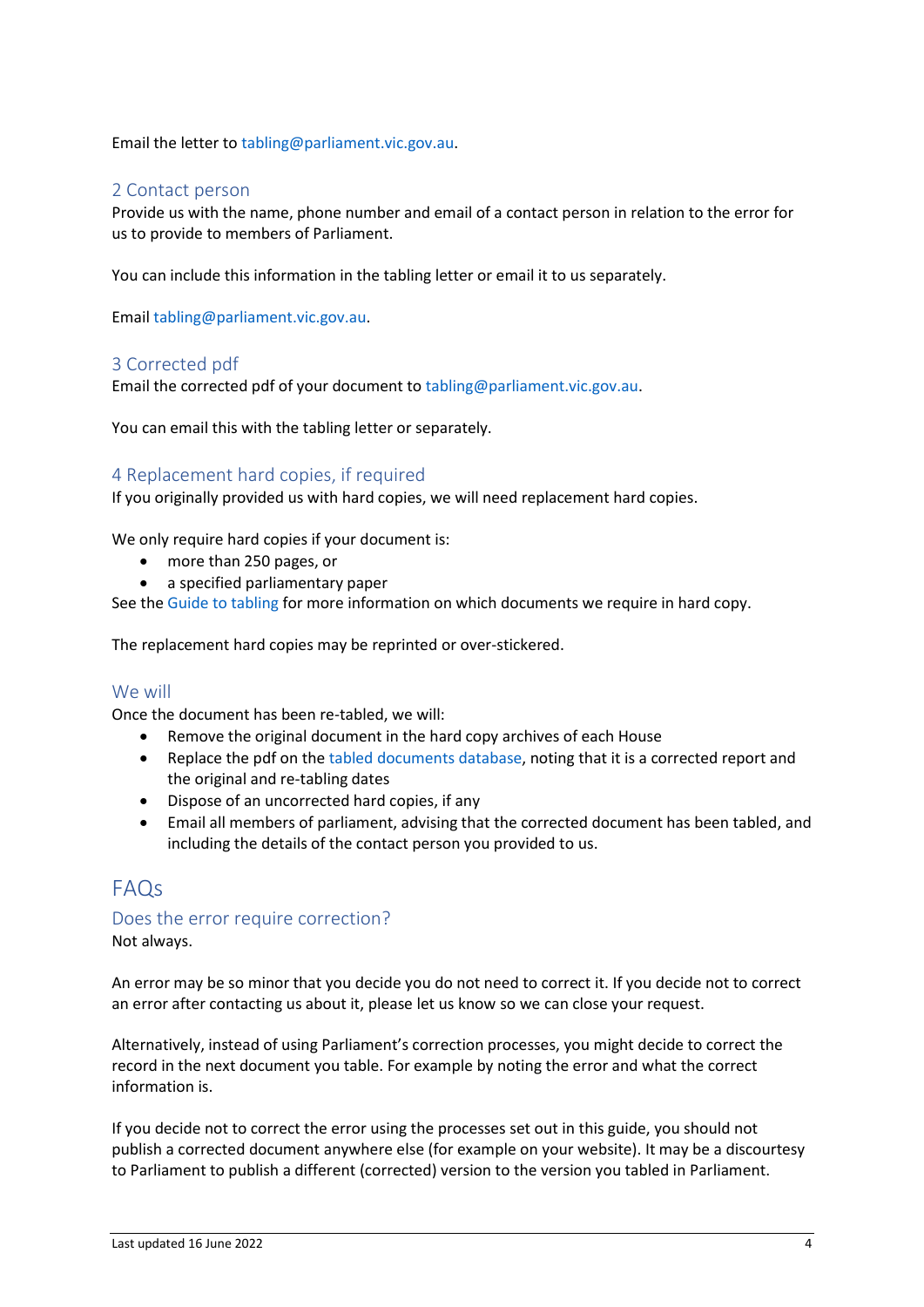Email the letter t[o tabling@parliament.vic.gov.au.](mailto:tabling@parliament.vic.gov.au)

#### <span id="page-3-1"></span>2 Contact person

Provide us with the name, phone number and email of a contact person in relation to the error for us to provide to members of Parliament.

You can include this information in the tabling letter or email it to us separately.

Email [tabling@parliament.vic.gov.au.](mailto:tabling@parliament.vic.gov.au)

#### <span id="page-3-2"></span>3 Corrected pdf

Email the corrected pdf of your document to [tabling@parliament.vic.gov.au.](mailto:tabling@parliament.vic.gov.au)

You can email this with the tabling letter or separately.

#### <span id="page-3-3"></span>4 Replacement hard copies, if required

If you originally provided us with hard copies, we will need replacement hard copies.

We only require hard copies if your document is:

- more than 250 pages, or
- a specified parliamentary paper

See the [Guide to tabling](https://new.parliament.vic.gov.au/globalassets/sections-shared/parliamentary-activity/guides-for-departments/guide-to-tabling.pdf) for more information on which documents we require in hard copy.

The replacement hard copies may be reprinted or over-stickered.

#### <span id="page-3-4"></span>We will

Once the document has been re-tabled, we will:

- Remove the original document in the hard copy archives of each House
- Replace the pdf on the [tabled documents](https://www.parliament.vic.gov.au/tabled-documents-database) database, noting that it is a corrected report and the original and re-tabling dates
- Dispose of an uncorrected hard copies, if any
- Email all members of parliament, advising that the corrected document has been tabled, and including the details of the contact person you provided to us.

# <span id="page-3-0"></span>FAQs

#### Does the error require correction?

Not always.

An error may be so minor that you decide you do not need to correct it. If you decide not to correct an error after contacting us about it, please let us know so we can close your request.

Alternatively, instead of using Parliament's correction processes, you might decide to correct the record in the next document you table. For example by noting the error and what the correct information is.

If you decide not to correct the error using the processes set out in this guide, you should not publish a corrected document anywhere else (for example on your website). It may be a discourtesy to Parliament to publish a different (corrected) version to the version you tabled in Parliament.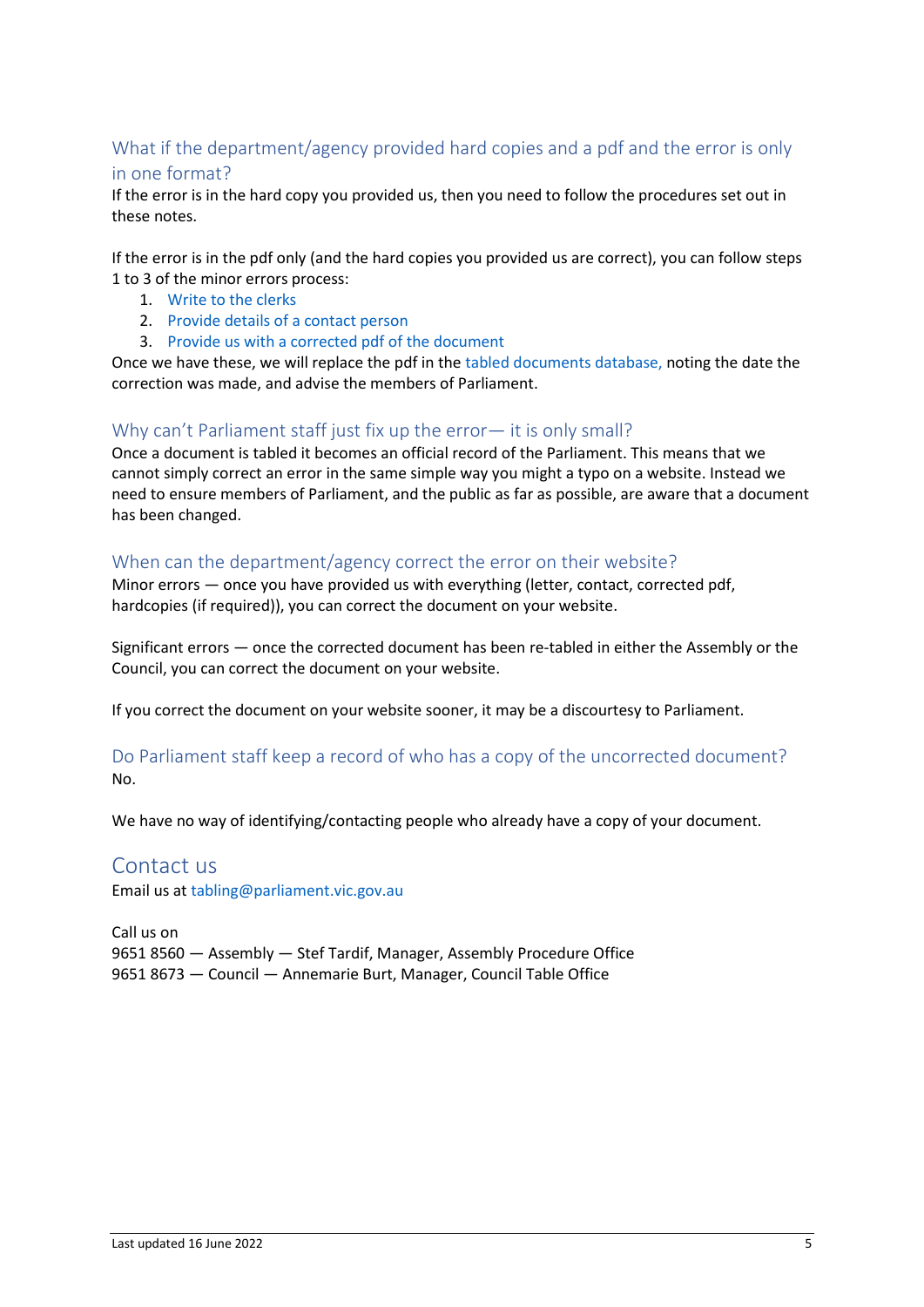## What if the department/agency provided hard copies and a pdf and the error is only in one format?

If the error is in the hard copy you provided us, then you need to follow the procedures set out in these notes.

If the error is in the pdf only (and the hard copies you provided us are correct), you can follow steps 1 to 3 of the minor errors process:

- 1. [Write to the clerks](#page-1-2)
- 2. [Provide details of a contact person](#page-1-3)
- 3. [Provide us with a corrected pdf of the document](#page-2-1)

Once we have these, we will replace the pdf in th[e tabled documents database,](https://www.parliament.vic.gov.au/tabled-documents-database) noting the date the correction was made, and advise the members of Parliament.

### Why can't Parliament staff just fix up the error— it is only small?

Once a document is tabled it becomes an official record of the Parliament. This means that we cannot simply correct an error in the same simple way you might a typo on a website. Instead we need to ensure members of Parliament, and the public as far as possible, are aware that a document has been changed.

## When can the department/agency correct the error on their website?

Minor errors — once you have provided us with everything (letter, contact, corrected pdf, hardcopies (if required)), you can correct the document on your website.

Significant errors — once the corrected document has been re-tabled in either the Assembly or the Council, you can correct the document on your website.

If you correct the document on your website sooner, it may be a discourtesy to Parliament.

Do Parliament staff keep a record of who has a copy of the uncorrected document? No.

<span id="page-4-0"></span>We have no way of identifying/contacting people who already have a copy of your document.

## Contact us

Email us at [tabling@parliament.vic.gov.au](mailto:tabling@parliament.vic.gov.au)

Call us on 9651 8560 — Assembly — Stef Tardif, Manager, Assembly Procedure Office 9651 8673 — Council — Annemarie Burt, Manager, Council Table Office